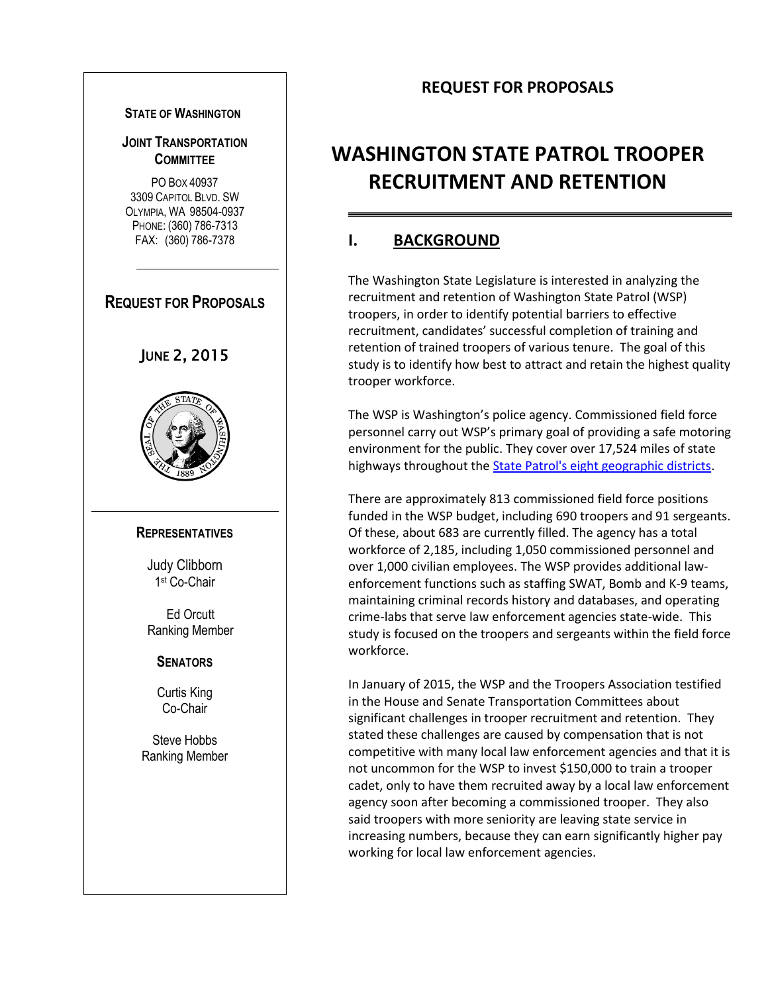#### **STATE OF WASHINGTON**

#### **JOINT TRANSPORTATION COMMITTEE**

PO BOX 40937 3309 CAPITOL BLVD. SW OLYMPIA, WA 98504-0937 PHONE: (360) 786-7313 FAX: (360) 786-7378

# **REQUEST FOR PROPOSALS**

# JUNE 2, 2015



#### **REPRESENTATIVES**

Judy Clibborn 1 st Co-Chair

Ed Orcutt Ranking Member

#### **SENATORS**

Curtis King Co-Chair

Steve Hobbs Ranking Member

# **REQUEST FOR PROPOSALS**

# **WASHINGTON STATE PATROL TROOPER RECRUITMENT AND RETENTION**

### **I. BACKGROUND**

The Washington State Legislature is interested in analyzing the recruitment and retention of Washington State Patrol (WSP) troopers, in order to identify potential barriers to effective recruitment, candidates' successful completion of training and retention of trained troopers of various tenure. The goal of this study is to identify how best to attract and retain the highest quality trooper workforce.

The WSP is Washington's police agency. Commissioned field force personnel carry out WSP's primary goal of providing a safe motoring environment for the public. They cover over 17,524 miles of state highways throughout the [State Patrol's eight geographic districts.](http://www.wsp.wa.gov/about/about.htm)

There are approximately 813 commissioned field force positions funded in the WSP budget, including 690 troopers and 91 sergeants. Of these, about 683 are currently filled. The agency has a total workforce of 2,185, including 1,050 commissioned personnel and over 1,000 civilian employees. The WSP provides additional lawenforcement functions such as staffing SWAT, Bomb and K-9 teams, maintaining criminal records history and databases, and operating crime-labs that serve law enforcement agencies state-wide. This study is focused on the troopers and sergeants within the field force workforce.

In January of 2015, the WSP and the Troopers Association testified in the House and Senate Transportation Committees about significant challenges in trooper recruitment and retention. They stated these challenges are caused by compensation that is not competitive with many local law enforcement agencies and that it is not uncommon for the WSP to invest \$150,000 to train a trooper cadet, only to have them recruited away by a local law enforcement agency soon after becoming a commissioned trooper. They also said troopers with more seniority are leaving state service in increasing numbers, because they can earn significantly higher pay working for local law enforcement agencies.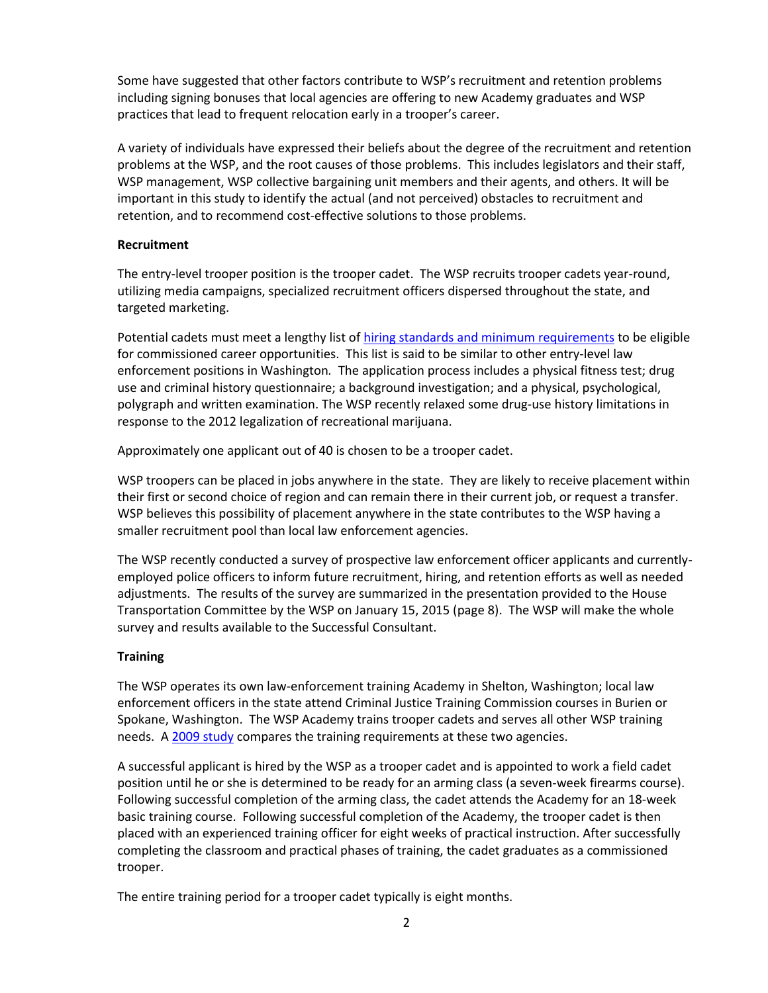Some have suggested that other factors contribute to WSP's recruitment and retention problems including signing bonuses that local agencies are offering to new Academy graduates and WSP practices that lead to frequent relocation early in a trooper's career.

A variety of individuals have expressed their beliefs about the degree of the recruitment and retention problems at the WSP, and the root causes of those problems. This includes legislators and their staff, WSP management, WSP collective bargaining unit members and their agents, and others. It will be important in this study to identify the actual (and not perceived) obstacles to recruitment and retention, and to recommend cost-effective solutions to those problems.

#### **Recruitment**

The entry-level trooper position is the trooper cadet. The WSP recruits trooper cadets year-round, utilizing media campaigns, specialized recruitment officers dispersed throughout the state, and targeted marketing.

Potential cadets must meet a lengthy list of [hiring standards and minimum requirements](http://www.wsp.wa.gov/employment/trooper.htm) to be eligible for commissioned career opportunities. This list is said to be similar to other entry-level law enforcement positions in Washington*.* The application process includes a physical fitness test; drug use and criminal history questionnaire; a background investigation; and a physical, psychological, polygraph and written examination. The WSP recently relaxed some drug-use history limitations in response to the 2012 legalization of recreational marijuana.

Approximately one applicant out of 40 is chosen to be a trooper cadet.

WSP troopers can be placed in jobs anywhere in the state. They are likely to receive placement within their first or second choice of region and can remain there in their current job, or request a transfer. WSP believes this possibility of placement anywhere in the state contributes to the WSP having a smaller recruitment pool than local law enforcement agencies.

The WSP recently conducted a survey of prospective law enforcement officer applicants and currentlyemployed police officers to inform future recruitment, hiring, and retention efforts as well as needed adjustments. The results of the survey are summarized in the presentation provided to the House Transportation Committee by the WSP on January 15, 2015 (page 8). The WSP will make the whole survey and results available to the Successful Consultant.

#### **Training**

The WSP operates its own law-enforcement training Academy in Shelton, Washington; local law enforcement officers in the state attend Criminal Justice Training Commission courses in Burien or Spokane, Washington. The WSP Academy trains trooper cadets and serves all other WSP training needs. A [2009 study](http://leg.wa.gov/JTC/Pages/data.aspx) compares the training requirements at these two agencies.

A successful applicant is hired by the WSP as a trooper cadet and is appointed to work a field cadet position until he or she is determined to be ready for an arming class (a seven-week firearms course). Following successful completion of the arming class, the cadet attends the Academy for an 18-week basic training course. Following successful completion of the Academy, the trooper cadet is then placed with an experienced training officer for eight weeks of practical instruction. After successfully completing the classroom and practical phases of training, the cadet graduates as a commissioned trooper.

The entire training period for a trooper cadet typically is eight months.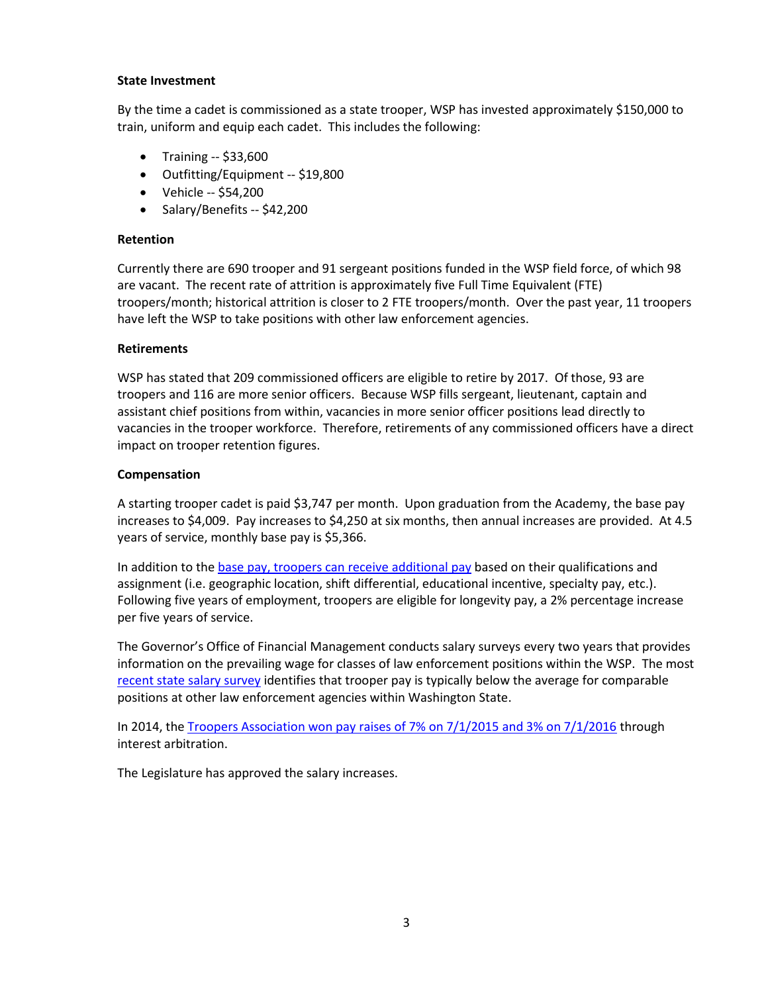#### **State Investment**

By the time a cadet is commissioned as a state trooper, WSP has invested approximately \$150,000 to train, uniform and equip each cadet. This includes the following:

- Training -- \$33,600
- Outfitting/Equipment -- \$19,800
- Vehicle -- \$54,200
- Salary/Benefits -- \$42,200

#### **Retention**

Currently there are 690 trooper and 91 sergeant positions funded in the WSP field force, of which 98 are vacant. The recent rate of attrition is approximately five Full Time Equivalent (FTE) troopers/month; historical attrition is closer to 2 FTE troopers/month. Over the past year, 11 troopers have left the WSP to take positions with other law enforcement agencies.

#### **Retirements**

WSP has stated that 209 commissioned officers are eligible to retire by 2017. Of those, 93 are troopers and 116 are more senior officers. Because WSP fills sergeant, lieutenant, captain and assistant chief positions from within, vacancies in more senior officer positions lead directly to vacancies in the trooper workforce. Therefore, retirements of any commissioned officers have a direct impact on trooper retention figures.

#### **Compensation**

A starting trooper cadet is paid \$3,747 per month. Upon graduation from the Academy, the base pay increases to \$4,009. Pay increases to \$4,250 at six months, then annual increases are provided. At 4.5 years of service, monthly base pay is \$5,366.

In addition to th[e base pay, troopers can receive](http://www.wsp.wa.gov/employment/benefits.htm) additional pay based on their qualifications and assignment (i.e. geographic location, shift differential, educational incentive, specialty pay, etc.). Following five years of employment, troopers are eligible for longevity pay, a 2% percentage increase per five years of service.

The Governor's Office of Financial Management conducts salary surveys every two years that provides information on the prevailing wage for classes of law enforcement positions within the WSP. The most [recent state salary survey](http://leg.wa.gov/JTC/Documents/2014_WSP_SalarySurvey.pdf) identifies that trooper pay is typically below the average for comparable positions at other law enforcement agencies within Washington State.

In 2014, the Troopers Association won pay raises [of 7% on 7/1/2015 and 3% on 7/1/2016](http://ofm.wa.gov/labor/arbitration/interest/15-17/wspta.pdf) through interest arbitration.

The Legislature has approved the salary increases.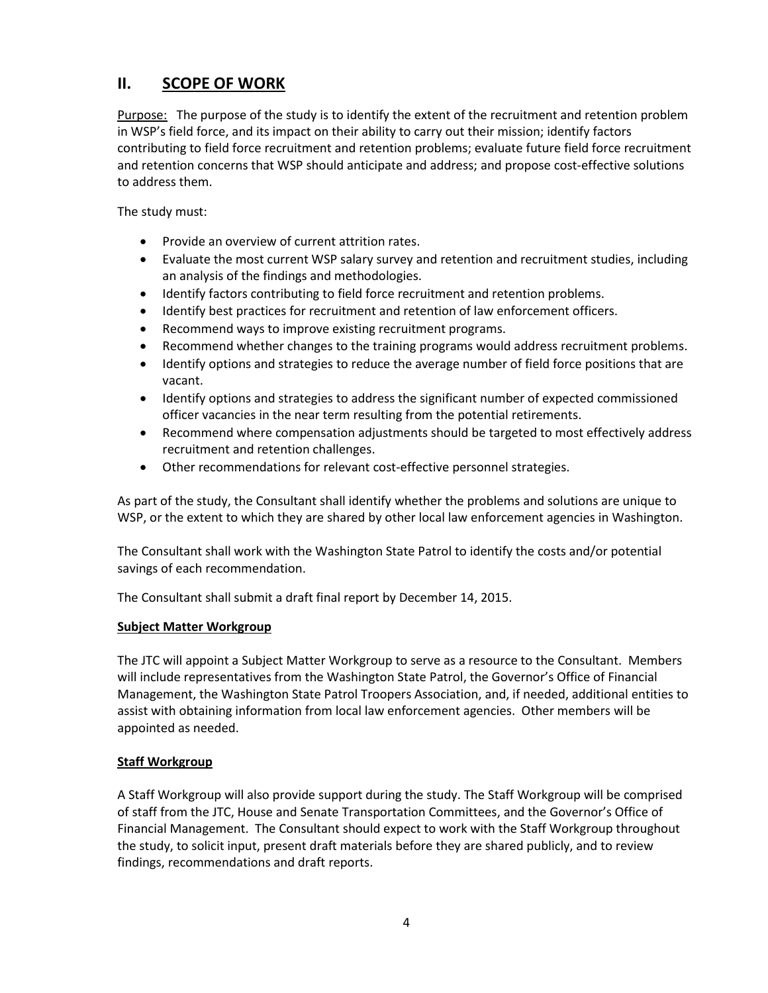# **II. SCOPE OF WORK**

Purpose: The purpose of the study is to identify the extent of the recruitment and retention problem in WSP's field force, and its impact on their ability to carry out their mission; identify factors contributing to field force recruitment and retention problems; evaluate future field force recruitment and retention concerns that WSP should anticipate and address; and propose cost-effective solutions to address them.

The study must:

- Provide an overview of current attrition rates.
- Evaluate the most current WSP salary survey and retention and recruitment studies, including an analysis of the findings and methodologies.
- Identify factors contributing to field force recruitment and retention problems.
- Identify best practices for recruitment and retention of law enforcement officers.
- Recommend ways to improve existing recruitment programs.
- Recommend whether changes to the training programs would address recruitment problems.
- Identify options and strategies to reduce the average number of field force positions that are vacant.
- Identify options and strategies to address the significant number of expected commissioned officer vacancies in the near term resulting from the potential retirements.
- Recommend where compensation adjustments should be targeted to most effectively address recruitment and retention challenges.
- Other recommendations for relevant cost-effective personnel strategies.

As part of the study, the Consultant shall identify whether the problems and solutions are unique to WSP, or the extent to which they are shared by other local law enforcement agencies in Washington.

The Consultant shall work with the Washington State Patrol to identify the costs and/or potential savings of each recommendation.

The Consultant shall submit a draft final report by December 14, 2015.

#### **Subject Matter Workgroup**

The JTC will appoint a Subject Matter Workgroup to serve as a resource to the Consultant. Members will include representatives from the Washington State Patrol, the Governor's Office of Financial Management, the Washington State Patrol Troopers Association, and, if needed, additional entities to assist with obtaining information from local law enforcement agencies. Other members will be appointed as needed.

#### **Staff Workgroup**

A Staff Workgroup will also provide support during the study. The Staff Workgroup will be comprised of staff from the JTC, House and Senate Transportation Committees, and the Governor's Office of Financial Management. The Consultant should expect to work with the Staff Workgroup throughout the study, to solicit input, present draft materials before they are shared publicly, and to review findings, recommendations and draft reports.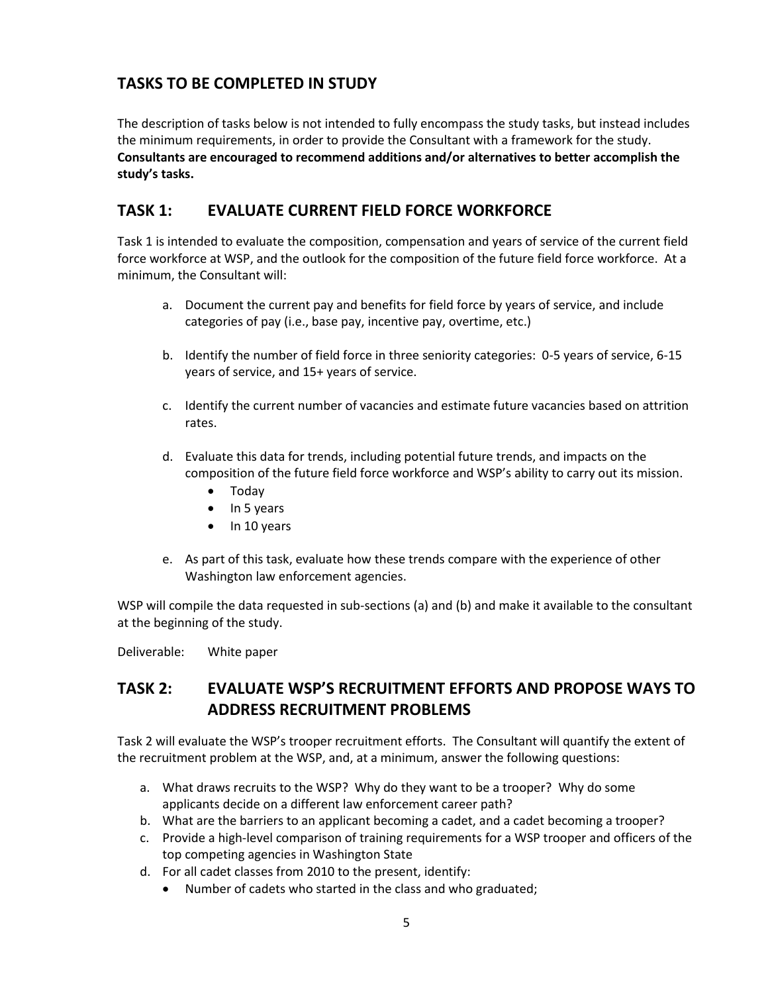# **TASKS TO BE COMPLETED IN STUDY**

The description of tasks below is not intended to fully encompass the study tasks, but instead includes the minimum requirements, in order to provide the Consultant with a framework for the study. **Consultants are encouraged to recommend additions and/or alternatives to better accomplish the study's tasks.**

### **TASK 1: EVALUATE CURRENT FIELD FORCE WORKFORCE**

Task 1 is intended to evaluate the composition, compensation and years of service of the current field force workforce at WSP, and the outlook for the composition of the future field force workforce. At a minimum, the Consultant will:

- a. Document the current pay and benefits for field force by years of service, and include categories of pay (i.e., base pay, incentive pay, overtime, etc.)
- b. Identify the number of field force in three seniority categories: 0-5 years of service, 6-15 years of service, and 15+ years of service.
- c. Identify the current number of vacancies and estimate future vacancies based on attrition rates.
- d. Evaluate this data for trends, including potential future trends, and impacts on the composition of the future field force workforce and WSP's ability to carry out its mission.
	- Today
	- $\bullet$  In 5 years
	- $\bullet$  In 10 years
- e. As part of this task, evaluate how these trends compare with the experience of other Washington law enforcement agencies.

WSP will compile the data requested in sub-sections (a) and (b) and make it available to the consultant at the beginning of the study.

Deliverable: White paper

# **TASK 2: EVALUATE WSP'S RECRUITMENT EFFORTS AND PROPOSE WAYS TO ADDRESS RECRUITMENT PROBLEMS**

Task 2 will evaluate the WSP's trooper recruitment efforts. The Consultant will quantify the extent of the recruitment problem at the WSP, and, at a minimum, answer the following questions:

- a. What draws recruits to the WSP? Why do they want to be a trooper? Why do some applicants decide on a different law enforcement career path?
- b. What are the barriers to an applicant becoming a cadet, and a cadet becoming a trooper?
- c. Provide a high-level comparison of training requirements for a WSP trooper and officers of the top competing agencies in Washington State
- d. For all cadet classes from 2010 to the present, identify:
	- Number of cadets who started in the class and who graduated;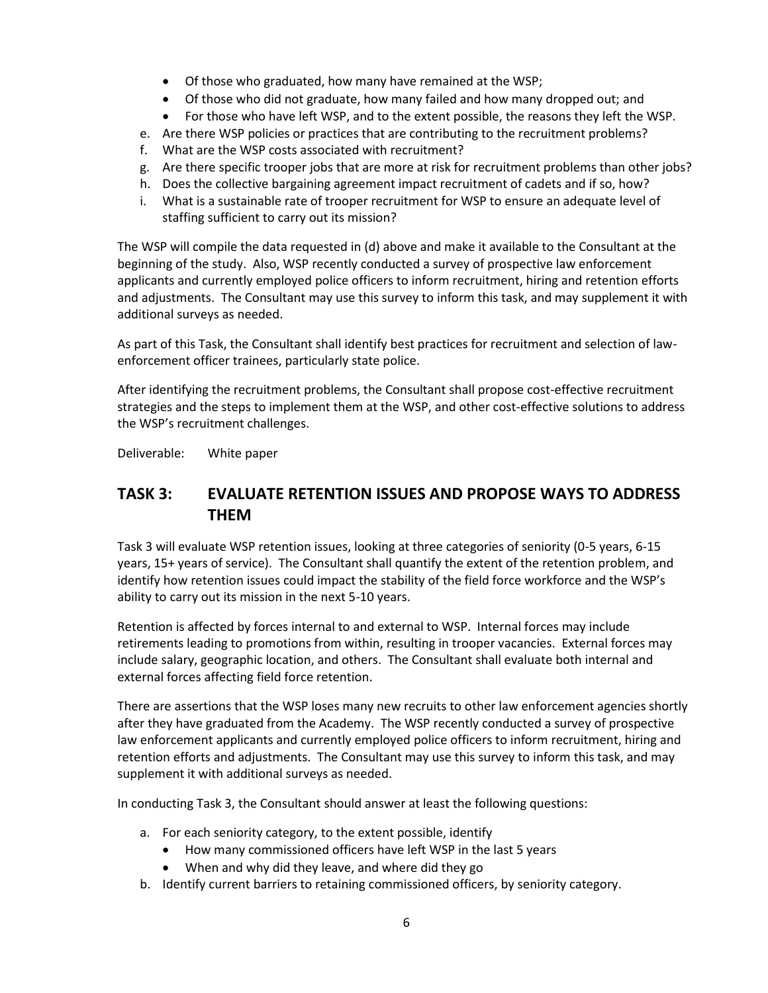- Of those who graduated, how many have remained at the WSP;
- Of those who did not graduate, how many failed and how many dropped out; and
- For those who have left WSP, and to the extent possible, the reasons they left the WSP.
- e. Are there WSP policies or practices that are contributing to the recruitment problems?
- f. What are the WSP costs associated with recruitment?
- g. Are there specific trooper jobs that are more at risk for recruitment problems than other jobs?
- h. Does the collective bargaining agreement impact recruitment of cadets and if so, how?
- i. What is a sustainable rate of trooper recruitment for WSP to ensure an adequate level of staffing sufficient to carry out its mission?

The WSP will compile the data requested in (d) above and make it available to the Consultant at the beginning of the study. Also, WSP recently conducted a survey of prospective law enforcement applicants and currently employed police officers to inform recruitment, hiring and retention efforts and adjustments. The Consultant may use this survey to inform this task, and may supplement it with additional surveys as needed.

As part of this Task, the Consultant shall identify best practices for recruitment and selection of lawenforcement officer trainees, particularly state police.

After identifying the recruitment problems, the Consultant shall propose cost-effective recruitment strategies and the steps to implement them at the WSP, and other cost-effective solutions to address the WSP's recruitment challenges.

Deliverable: White paper

# **TASK 3: EVALUATE RETENTION ISSUES AND PROPOSE WAYS TO ADDRESS THEM**

Task 3 will evaluate WSP retention issues, looking at three categories of seniority (0-5 years, 6-15 years, 15+ years of service). The Consultant shall quantify the extent of the retention problem, and identify how retention issues could impact the stability of the field force workforce and the WSP's ability to carry out its mission in the next 5-10 years.

Retention is affected by forces internal to and external to WSP. Internal forces may include retirements leading to promotions from within, resulting in trooper vacancies. External forces may include salary, geographic location, and others. The Consultant shall evaluate both internal and external forces affecting field force retention.

There are assertions that the WSP loses many new recruits to other law enforcement agencies shortly after they have graduated from the Academy. The WSP recently conducted a survey of prospective law enforcement applicants and currently employed police officers to inform recruitment, hiring and retention efforts and adjustments. The Consultant may use this survey to inform this task, and may supplement it with additional surveys as needed.

In conducting Task 3, the Consultant should answer at least the following questions:

- a. For each seniority category, to the extent possible, identify
	- How many commissioned officers have left WSP in the last 5 years
	- When and why did they leave, and where did they go
- b. Identify current barriers to retaining commissioned officers, by seniority category.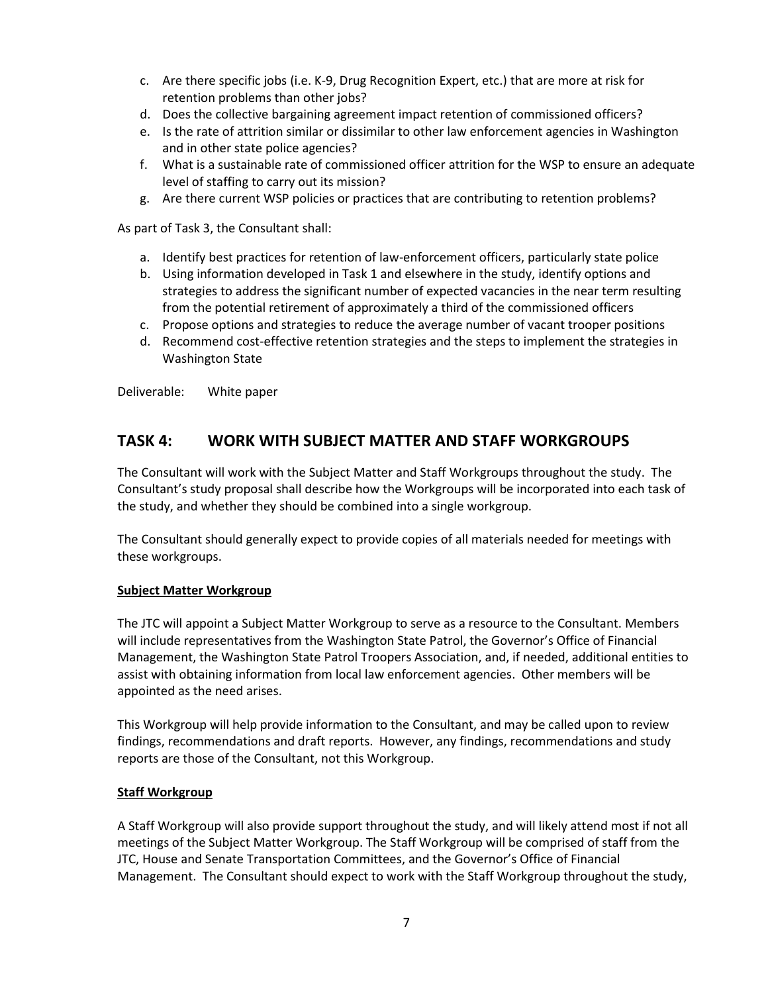- c. Are there specific jobs (i.e. K-9, Drug Recognition Expert, etc.) that are more at risk for retention problems than other jobs?
- d. Does the collective bargaining agreement impact retention of commissioned officers?
- e. Is the rate of attrition similar or dissimilar to other law enforcement agencies in Washington and in other state police agencies?
- f. What is a sustainable rate of commissioned officer attrition for the WSP to ensure an adequate level of staffing to carry out its mission?
- g. Are there current WSP policies or practices that are contributing to retention problems?

As part of Task 3, the Consultant shall:

- a. Identify best practices for retention of law-enforcement officers, particularly state police
- b. Using information developed in Task 1 and elsewhere in the study, identify options and strategies to address the significant number of expected vacancies in the near term resulting from the potential retirement of approximately a third of the commissioned officers
- c. Propose options and strategies to reduce the average number of vacant trooper positions
- d. Recommend cost-effective retention strategies and the steps to implement the strategies in Washington State

Deliverable: White paper

### **TASK 4: WORK WITH SUBJECT MATTER AND STAFF WORKGROUPS**

The Consultant will work with the Subject Matter and Staff Workgroups throughout the study. The Consultant's study proposal shall describe how the Workgroups will be incorporated into each task of the study, and whether they should be combined into a single workgroup.

The Consultant should generally expect to provide copies of all materials needed for meetings with these workgroups.

#### **Subject Matter Workgroup**

The JTC will appoint a Subject Matter Workgroup to serve as a resource to the Consultant. Members will include representatives from the Washington State Patrol, the Governor's Office of Financial Management, the Washington State Patrol Troopers Association, and, if needed, additional entities to assist with obtaining information from local law enforcement agencies. Other members will be appointed as the need arises.

This Workgroup will help provide information to the Consultant, and may be called upon to review findings, recommendations and draft reports. However, any findings, recommendations and study reports are those of the Consultant, not this Workgroup.

#### **Staff Workgroup**

A Staff Workgroup will also provide support throughout the study, and will likely attend most if not all meetings of the Subject Matter Workgroup. The Staff Workgroup will be comprised of staff from the JTC, House and Senate Transportation Committees, and the Governor's Office of Financial Management. The Consultant should expect to work with the Staff Workgroup throughout the study,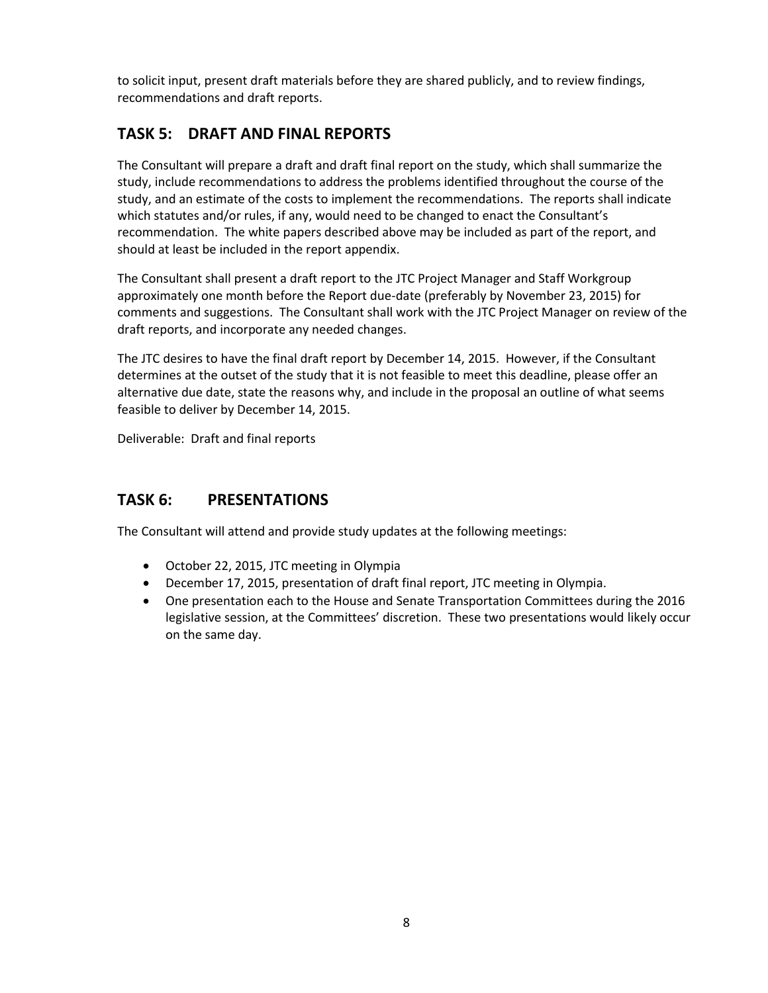to solicit input, present draft materials before they are shared publicly, and to review findings, recommendations and draft reports.

# **TASK 5: DRAFT AND FINAL REPORTS**

The Consultant will prepare a draft and draft final report on the study, which shall summarize the study, include recommendations to address the problems identified throughout the course of the study, and an estimate of the costs to implement the recommendations. The reports shall indicate which statutes and/or rules, if any, would need to be changed to enact the Consultant's recommendation. The white papers described above may be included as part of the report, and should at least be included in the report appendix.

The Consultant shall present a draft report to the JTC Project Manager and Staff Workgroup approximately one month before the Report due-date (preferably by November 23, 2015) for comments and suggestions. The Consultant shall work with the JTC Project Manager on review of the draft reports, and incorporate any needed changes.

The JTC desires to have the final draft report by December 14, 2015. However, if the Consultant determines at the outset of the study that it is not feasible to meet this deadline, please offer an alternative due date, state the reasons why, and include in the proposal an outline of what seems feasible to deliver by December 14, 2015.

Deliverable: Draft and final reports

# **TASK 6: PRESENTATIONS**

The Consultant will attend and provide study updates at the following meetings:

- October 22, 2015, JTC meeting in Olympia
- December 17, 2015, presentation of draft final report, JTC meeting in Olympia.
- One presentation each to the House and Senate Transportation Committees during the 2016 legislative session, at the Committees' discretion. These two presentations would likely occur on the same day.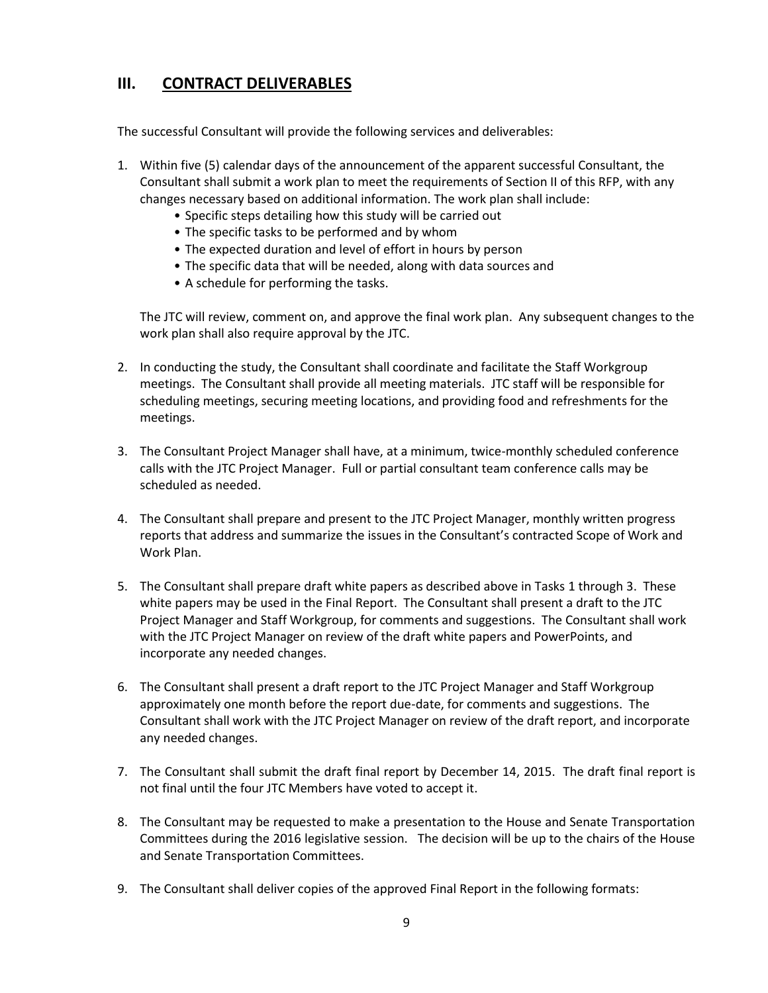# **III. CONTRACT DELIVERABLES**

The successful Consultant will provide the following services and deliverables:

- 1. Within five (5) calendar days of the announcement of the apparent successful Consultant, the Consultant shall submit a work plan to meet the requirements of Section II of this RFP, with any changes necessary based on additional information. The work plan shall include:
	- Specific steps detailing how this study will be carried out
	- The specific tasks to be performed and by whom
	- The expected duration and level of effort in hours by person
	- The specific data that will be needed, along with data sources and
	- A schedule for performing the tasks.

The JTC will review, comment on, and approve the final work plan. Any subsequent changes to the work plan shall also require approval by the JTC.

- 2. In conducting the study, the Consultant shall coordinate and facilitate the Staff Workgroup meetings. The Consultant shall provide all meeting materials. JTC staff will be responsible for scheduling meetings, securing meeting locations, and providing food and refreshments for the meetings.
- 3. The Consultant Project Manager shall have, at a minimum, twice-monthly scheduled conference calls with the JTC Project Manager. Full or partial consultant team conference calls may be scheduled as needed.
- 4. The Consultant shall prepare and present to the JTC Project Manager, monthly written progress reports that address and summarize the issues in the Consultant's contracted Scope of Work and Work Plan.
- 5. The Consultant shall prepare draft white papers as described above in Tasks 1 through 3. These white papers may be used in the Final Report. The Consultant shall present a draft to the JTC Project Manager and Staff Workgroup, for comments and suggestions. The Consultant shall work with the JTC Project Manager on review of the draft white papers and PowerPoints, and incorporate any needed changes.
- 6. The Consultant shall present a draft report to the JTC Project Manager and Staff Workgroup approximately one month before the report due-date, for comments and suggestions. The Consultant shall work with the JTC Project Manager on review of the draft report, and incorporate any needed changes.
- 7. The Consultant shall submit the draft final report by December 14, 2015. The draft final report is not final until the four JTC Members have voted to accept it.
- 8. The Consultant may be requested to make a presentation to the House and Senate Transportation Committees during the 2016 legislative session. The decision will be up to the chairs of the House and Senate Transportation Committees.
- 9. The Consultant shall deliver copies of the approved Final Report in the following formats: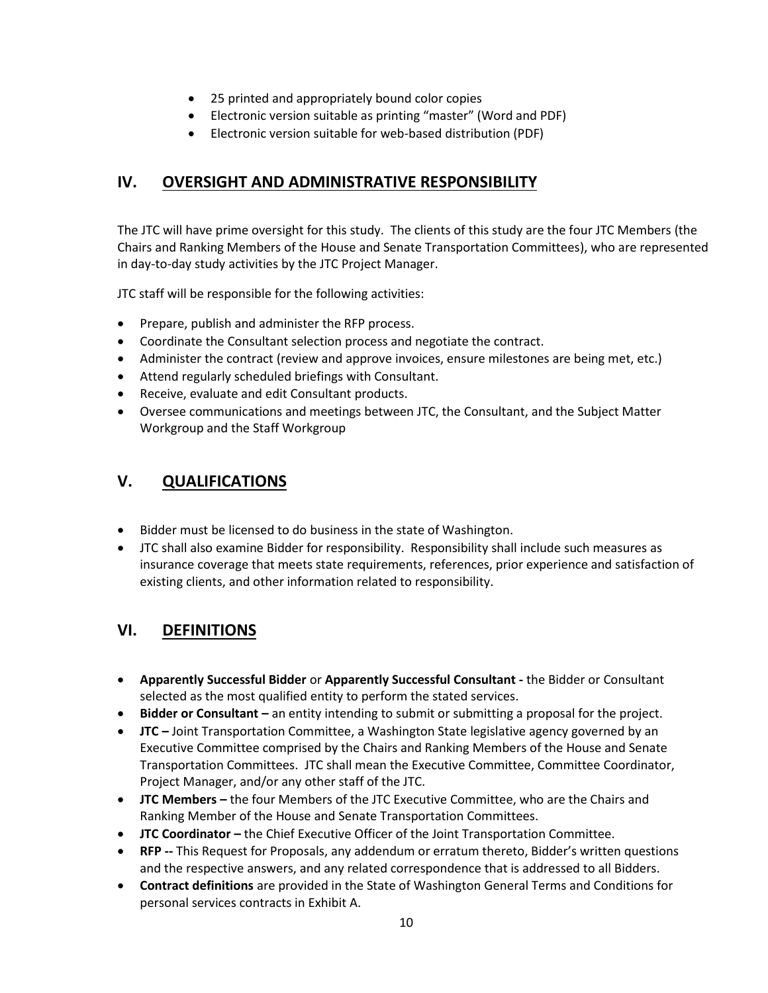- 25 printed and appropriately bound color copies
- Electronic version suitable as printing "master" (Word and PDF)
- Electronic version suitable for web-based distribution (PDF)

### **IV. OVERSIGHT AND ADMINISTRATIVE RESPONSIBILITY**

The JTC will have prime oversight for this study. The clients of this study are the four JTC Members (the Chairs and Ranking Members of the House and Senate Transportation Committees), who are represented in day-to-day study activities by the JTC Project Manager.

JTC staff will be responsible for the following activities:

- Prepare, publish and administer the RFP process.
- Coordinate the Consultant selection process and negotiate the contract.
- Administer the contract (review and approve invoices, ensure milestones are being met, etc.)
- Attend regularly scheduled briefings with Consultant.
- Receive, evaluate and edit Consultant products.
- Oversee communications and meetings between JTC, the Consultant, and the Subject Matter Workgroup and the Staff Workgroup

### **V. QUALIFICATIONS**

- Bidder must be licensed to do business in the state of Washington.
- JTC shall also examine Bidder for responsibility. Responsibility shall include such measures as insurance coverage that meets state requirements, references, prior experience and satisfaction of existing clients, and other information related to responsibility.

### **VI. DEFINITIONS**

- **Apparently Successful Bidder** or **Apparently Successful Consultant -** the Bidder or Consultant selected as the most qualified entity to perform the stated services.
- **Bidder or Consultant –** an entity intending to submit or submitting a proposal for the project.
- **JTC –** Joint Transportation Committee, a Washington State legislative agency governed by an Executive Committee comprised by the Chairs and Ranking Members of the House and Senate Transportation Committees. JTC shall mean the Executive Committee, Committee Coordinator, Project Manager, and/or any other staff of the JTC.
- **JTC Members –** the four Members of the JTC Executive Committee, who are the Chairs and Ranking Member of the House and Senate Transportation Committees.
- **JTC Coordinator –** the Chief Executive Officer of the Joint Transportation Committee.
- **RFP --** This Request for Proposals, any addendum or erratum thereto, Bidder's written questions and the respective answers, and any related correspondence that is addressed to all Bidders.
- **Contract definitions** are provided in the State of Washington General Terms and Conditions for personal services contracts in Exhibit A.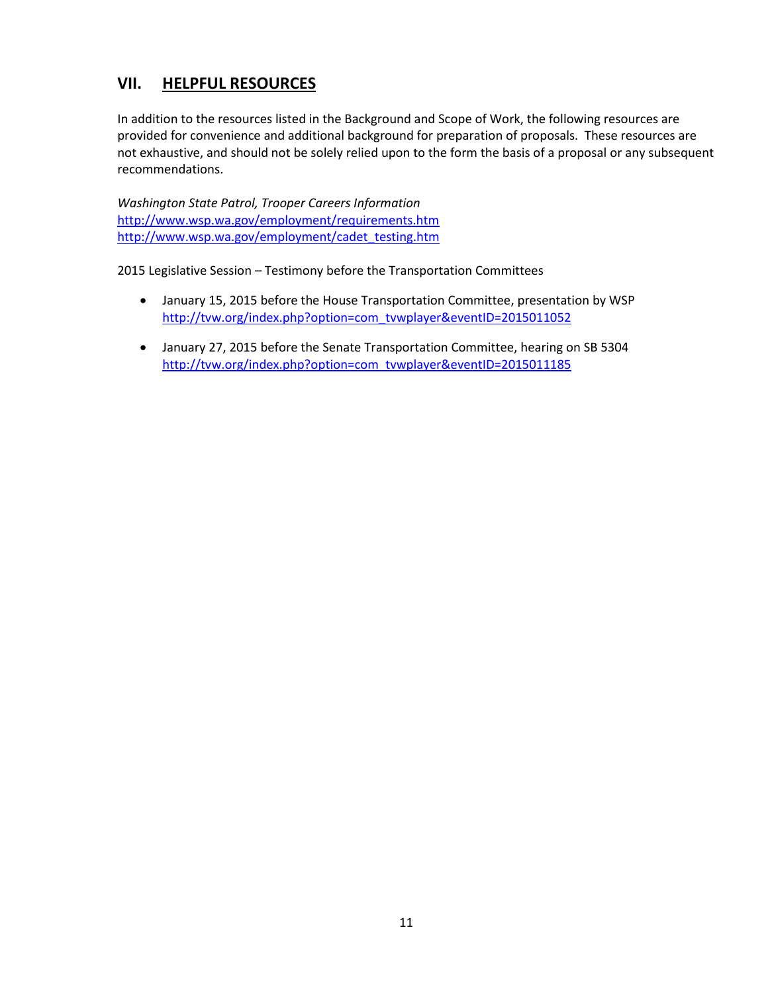# **VII. HELPFUL RESOURCES**

In addition to the resources listed in the Background and Scope of Work, the following resources are provided for convenience and additional background for preparation of proposals. These resources are not exhaustive, and should not be solely relied upon to the form the basis of a proposal or any subsequent recommendations.

*Washington State Patrol, Trooper Careers Information* <http://www.wsp.wa.gov/employment/requirements.htm> [http://www.wsp.wa.gov/employment/cadet\\_testing.htm](http://www.wsp.wa.gov/employment/cadet_testing.htm)

2015 Legislative Session – Testimony before the Transportation Committees

- January 15, 2015 before the House Transportation Committee, presentation by WSP [http://tvw.org/index.php?option=com\\_tvwplayer&eventID=2015011052](http://tvw.org/index.php?option=com_tvwplayer&eventID=2015011052)
- January 27, 2015 before the Senate Transportation Committee, hearing on SB 5304 [http://tvw.org/index.php?option=com\\_tvwplayer&eventID=2015011185](http://tvw.org/index.php?option=com_tvwplayer&eventID=2015011185)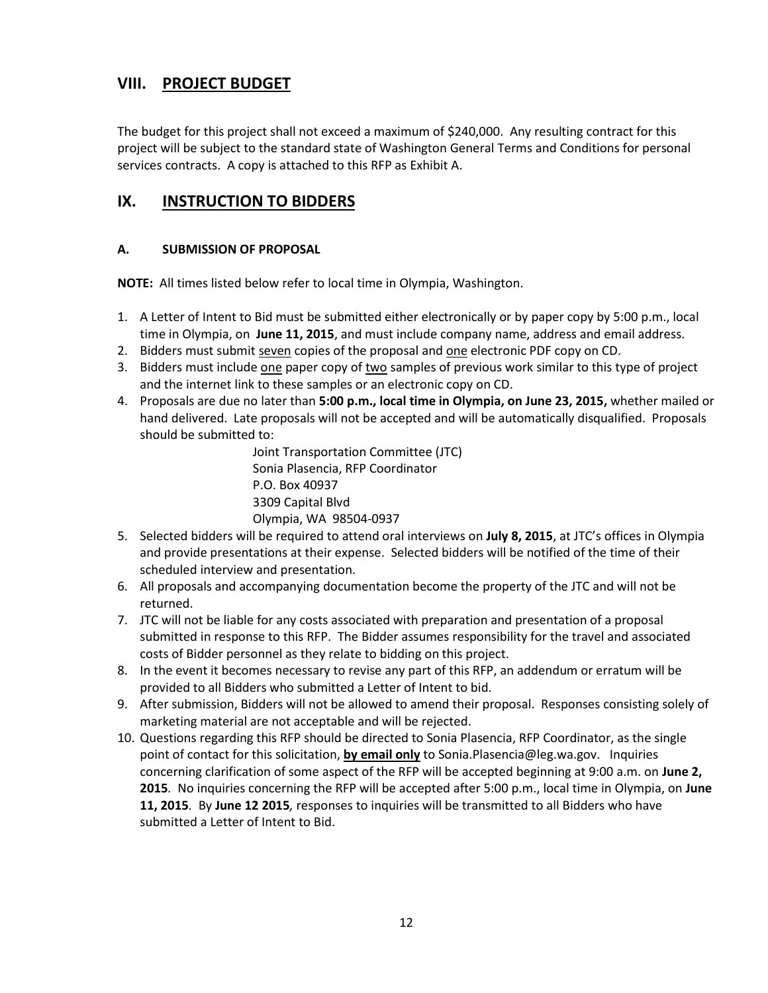# **VIII. PROJECT BUDGET**

The budget for this project shall not exceed a maximum of \$240,000. Any resulting contract for this project will be subject to the standard state of Washington General Terms and Conditions for personal services contracts. A copy is attached to this RFP as Exhibit A.

# **IX. INSTRUCTION TO BIDDERS**

#### **A. SUBMISSION OF PROPOSAL**

**NOTE:** All times listed below refer to local time in Olympia, Washington.

- 1. A Letter of Intent to Bid must be submitted either electronically or by paper copy by 5:00 p.m., local time in Olympia, on **June 11, 2015**, and must include company name, address and email address.
- 2. Bidders must submit seven copies of the proposal and one electronic PDF copy on CD.
- 3. Bidders must include one paper copy of two samples of previous work similar to this type of project and the internet link to these samples or an electronic copy on CD.
- 4. Proposals are due no later than **5:00 p.m., local time in Olympia, on June 23, 2015,** whether mailed or hand delivered. Late proposals will not be accepted and will be automatically disqualified. Proposals should be submitted to:

Joint Transportation Committee (JTC) Sonia Plasencia, RFP Coordinator P.O. Box 40937 3309 Capital Blvd Olympia, WA 98504-0937

- 5. Selected bidders will be required to attend oral interviews on **July 8, 2015**, at JTC's offices in Olympia and provide presentations at their expense. Selected bidders will be notified of the time of their scheduled interview and presentation.
- 6. All proposals and accompanying documentation become the property of the JTC and will not be returned.
- 7. JTC will not be liable for any costs associated with preparation and presentation of a proposal submitted in response to this RFP. The Bidder assumes responsibility for the travel and associated costs of Bidder personnel as they relate to bidding on this project.
- 8. In the event it becomes necessary to revise any part of this RFP, an addendum or erratum will be provided to all Bidders who submitted a Letter of Intent to bid.
- 9. After submission, Bidders will not be allowed to amend their proposal. Responses consisting solely of marketing material are not acceptable and will be rejected.
- 10. Questions regarding this RFP should be directed to Sonia Plasencia, RFP Coordinator, as the single point of contact for this solicitation, **by email only** to Sonia.Plasencia@leg.wa.gov. Inquiries concerning clarification of some aspect of the RFP will be accepted beginning at 9:00 a.m. on **June 2, 2015***.* No inquiries concerning the RFP will be accepted after 5:00 p.m., local time in Olympia, on **June 11, 2015***.* By **June 12 2015***,* responses to inquiries will be transmitted to all Bidders who have submitted a Letter of Intent to Bid.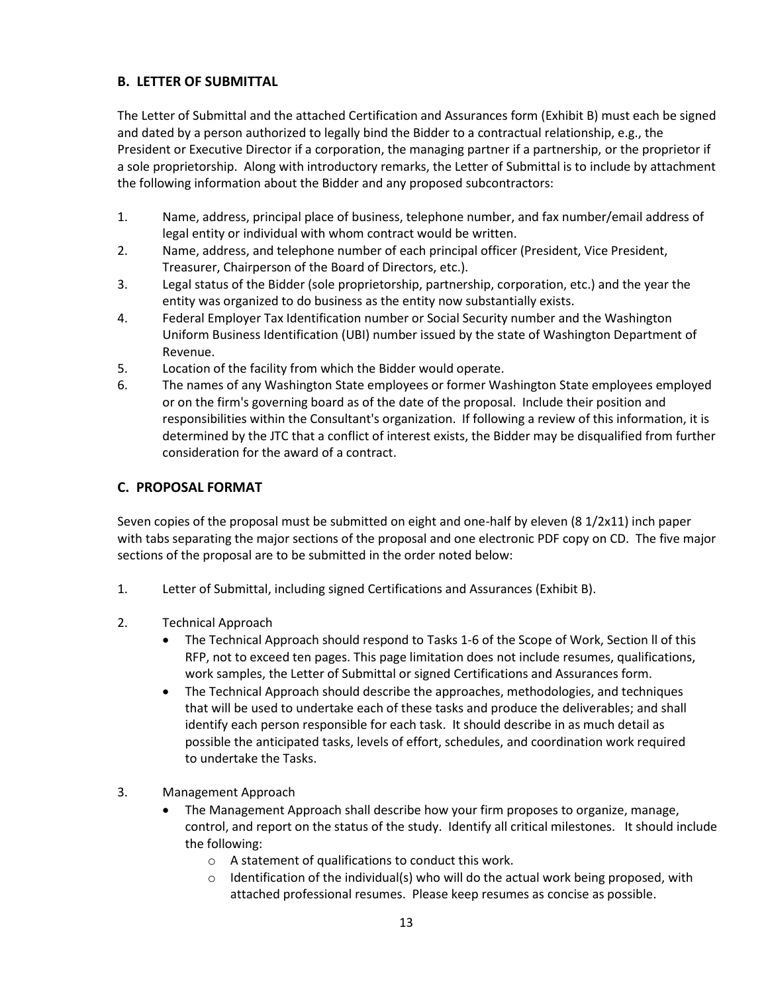### **B. LETTER OF SUBMITTAL**

The Letter of Submittal and the attached Certification and Assurances form (Exhibit B) must each be signed and dated by a person authorized to legally bind the Bidder to a contractual relationship, e.g., the President or Executive Director if a corporation, the managing partner if a partnership, or the proprietor if a sole proprietorship. Along with introductory remarks, the Letter of Submittal is to include by attachment the following information about the Bidder and any proposed subcontractors:

- 1. Name, address, principal place of business, telephone number, and fax number/email address of legal entity or individual with whom contract would be written.
- 2. Name, address, and telephone number of each principal officer (President, Vice President, Treasurer, Chairperson of the Board of Directors, etc.).
- 3. Legal status of the Bidder (sole proprietorship, partnership, corporation, etc.) and the year the entity was organized to do business as the entity now substantially exists.
- 4. Federal Employer Tax Identification number or Social Security number and the Washington Uniform Business Identification (UBI) number issued by the state of Washington Department of Revenue.
- 5. Location of the facility from which the Bidder would operate.
- 6. The names of any Washington State employees or former Washington State employees employed or on the firm's governing board as of the date of the proposal. Include their position and responsibilities within the Consultant's organization. If following a review of this information, it is determined by the JTC that a conflict of interest exists, the Bidder may be disqualified from further consideration for the award of a contract.

#### **C. PROPOSAL FORMAT**

Seven copies of the proposal must be submitted on eight and one-half by eleven (8 1/2x11) inch paper with tabs separating the major sections of the proposal and one electronic PDF copy on CD. The five major sections of the proposal are to be submitted in the order noted below:

- 1. Letter of Submittal, including signed Certifications and Assurances (Exhibit B).
- 2. Technical Approach
	- The Technical Approach should respond to Tasks 1-6 of the Scope of Work, Section ll of this RFP, not to exceed ten pages. This page limitation does not include resumes, qualifications, work samples, the Letter of Submittal or signed Certifications and Assurances form.
	- The Technical Approach should describe the approaches, methodologies, and techniques that will be used to undertake each of these tasks and produce the deliverables; and shall identify each person responsible for each task. It should describe in as much detail as possible the anticipated tasks, levels of effort, schedules, and coordination work required to undertake the Tasks.
- 3. Management Approach
	- The Management Approach shall describe how your firm proposes to organize, manage, control, and report on the status of the study. Identify all critical milestones. It should include the following:
		- o A statement of qualifications to conduct this work.
		- $\circ$  Identification of the individual(s) who will do the actual work being proposed, with attached professional resumes. Please keep resumes as concise as possible.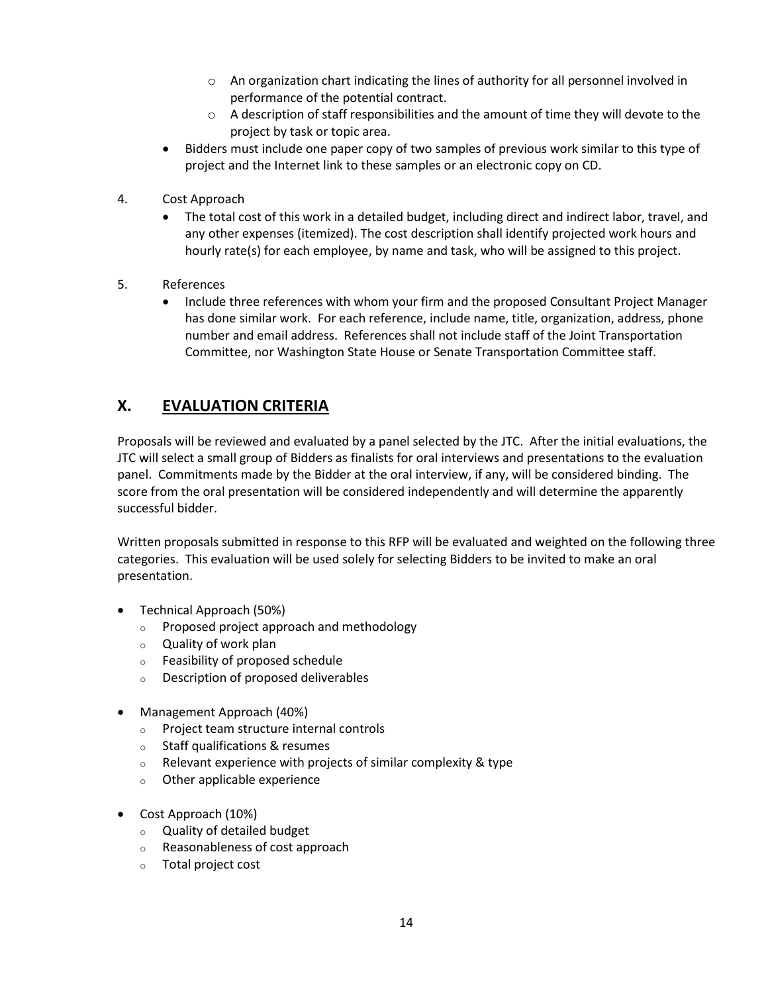- o An organization chart indicating the lines of authority for all personnel involved in performance of the potential contract.
- $\circ$  A description of staff responsibilities and the amount of time they will devote to the project by task or topic area.
- Bidders must include one paper copy of two samples of previous work similar to this type of project and the Internet link to these samples or an electronic copy on CD.
- 4. Cost Approach
	- The total cost of this work in a detailed budget, including direct and indirect labor, travel, and any other expenses (itemized). The cost description shall identify projected work hours and hourly rate(s) for each employee, by name and task, who will be assigned to this project.
- 5. References
	- Include three references with whom your firm and the proposed Consultant Project Manager has done similar work. For each reference, include name, title, organization, address, phone number and email address. References shall not include staff of the Joint Transportation Committee, nor Washington State House or Senate Transportation Committee staff.

# **X. EVALUATION CRITERIA**

Proposals will be reviewed and evaluated by a panel selected by the JTC. After the initial evaluations, the JTC will select a small group of Bidders as finalists for oral interviews and presentations to the evaluation panel. Commitments made by the Bidder at the oral interview, if any, will be considered binding. The score from the oral presentation will be considered independently and will determine the apparently successful bidder.

Written proposals submitted in response to this RFP will be evaluated and weighted on the following three categories. This evaluation will be used solely for selecting Bidders to be invited to make an oral presentation.

- Technical Approach (50%)
	- o Proposed project approach and methodology
	- o Quality of work plan
	- o Feasibility of proposed schedule
	- o Description of proposed deliverables
- Management Approach (40%)
	- o Project team structure internal controls
	- o Staff qualifications & resumes
	- $\circ$  Relevant experience with projects of similar complexity & type
	- o Other applicable experience
- Cost Approach (10%)
	- o Quality of detailed budget
	- o Reasonableness of cost approach
	- o Total project cost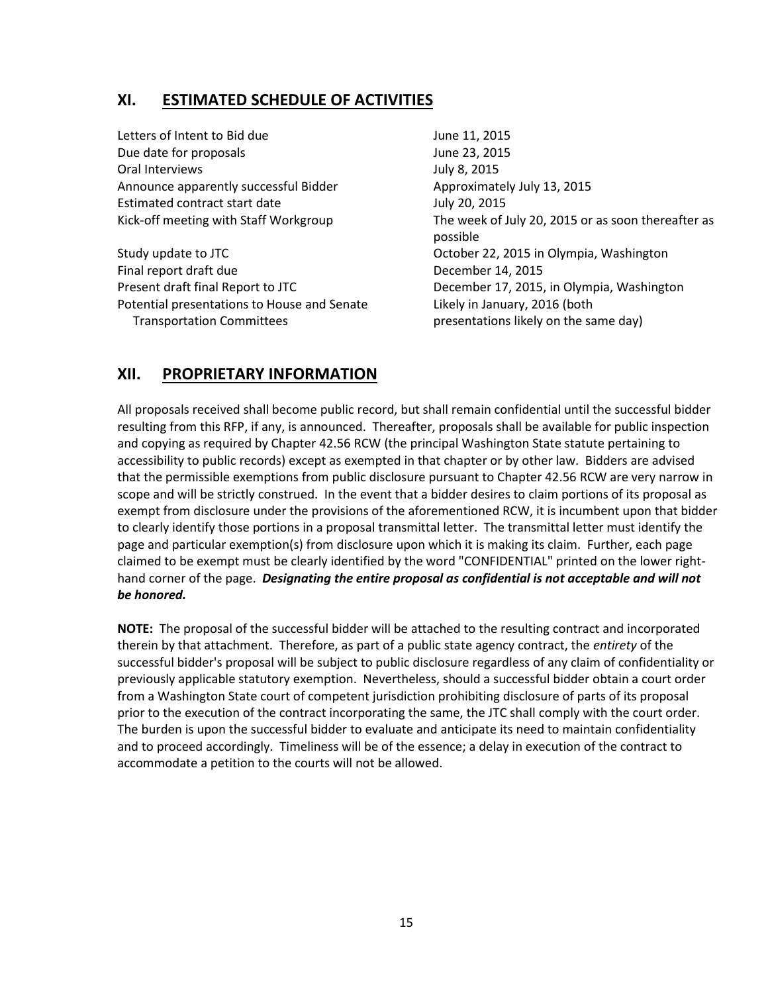### **XI. ESTIMATED SCHEDULE OF ACTIVITIES**

Letters of Intent to Bid due June 11, 2015 Due date for proposals and the United States of the United States June 23, 2015 Oral Interviews **July 8, 2015** Announce apparently successful Bidder Approximately July 13, 2015 Estimated contract start date July 20, 2015

Study update to JTC **COLL 2015** Study update to JTC and Study update to JTC and Study and Study Detection of Detection Final report draft due December 14, 2015 Present draft final Report to JTC December 17, 2015, in Olympia, Washington Potential presentations to House and Senate Likely in January, 2016 (both Transportation Committees presentations likely on the same day)

Kick-off meeting with Staff Workgroup The week of July 20, 2015 or as soon thereafter as possible

# **XII. PROPRIETARY INFORMATION**

All proposals received shall become public record, but shall remain confidential until the successful bidder resulting from this RFP, if any, is announced. Thereafter, proposals shall be available for public inspection and copying as required by Chapter 42.56 RCW (the principal Washington State statute pertaining to accessibility to public records) except as exempted in that chapter or by other law. Bidders are advised that the permissible exemptions from public disclosure pursuant to Chapter 42.56 RCW are very narrow in scope and will be strictly construed. In the event that a bidder desires to claim portions of its proposal as exempt from disclosure under the provisions of the aforementioned RCW, it is incumbent upon that bidder to clearly identify those portions in a proposal transmittal letter. The transmittal letter must identify the page and particular exemption(s) from disclosure upon which it is making its claim. Further, each page claimed to be exempt must be clearly identified by the word "CONFIDENTIAL" printed on the lower righthand corner of the page. *Designating the entire proposal as confidential is not acceptable and will not be honored.*

**NOTE:** The proposal of the successful bidder will be attached to the resulting contract and incorporated therein by that attachment. Therefore, as part of a public state agency contract, the *entirety* of the successful bidder's proposal will be subject to public disclosure regardless of any claim of confidentiality or previously applicable statutory exemption. Nevertheless, should a successful bidder obtain a court order from a Washington State court of competent jurisdiction prohibiting disclosure of parts of its proposal prior to the execution of the contract incorporating the same, the JTC shall comply with the court order. The burden is upon the successful bidder to evaluate and anticipate its need to maintain confidentiality and to proceed accordingly. Timeliness will be of the essence; a delay in execution of the contract to accommodate a petition to the courts will not be allowed.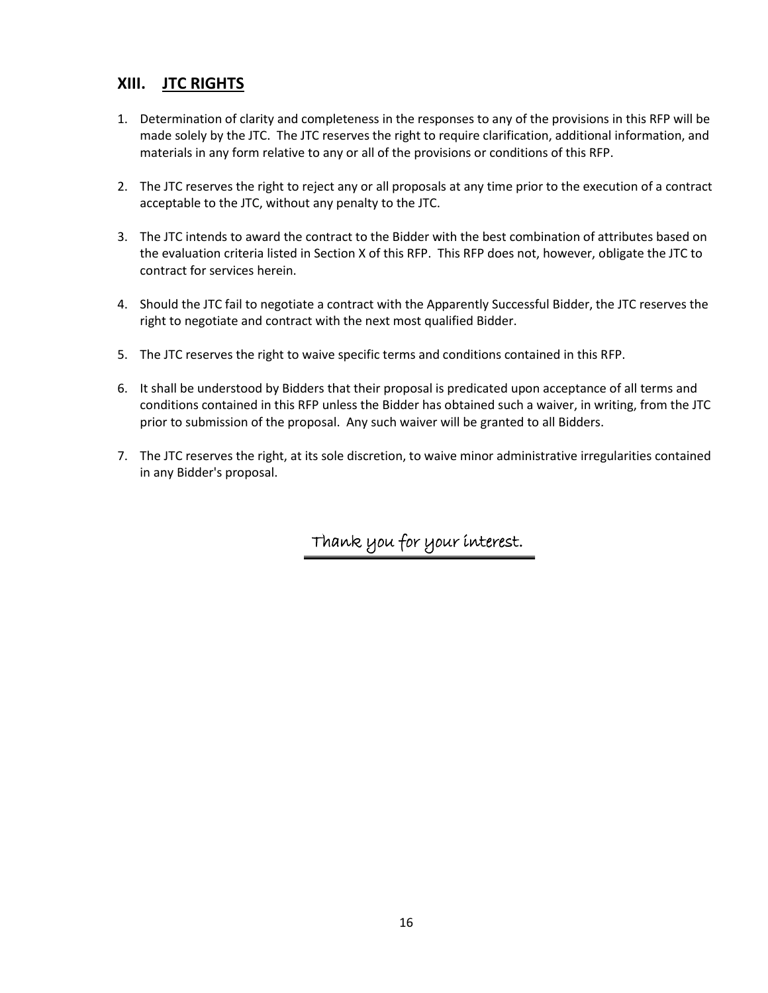### **XIII. JTC RIGHTS**

- 1. Determination of clarity and completeness in the responses to any of the provisions in this RFP will be made solely by the JTC. The JTC reserves the right to require clarification, additional information, and materials in any form relative to any or all of the provisions or conditions of this RFP.
- 2. The JTC reserves the right to reject any or all proposals at any time prior to the execution of a contract acceptable to the JTC, without any penalty to the JTC.
- 3. The JTC intends to award the contract to the Bidder with the best combination of attributes based on the evaluation criteria listed in Section X of this RFP. This RFP does not, however, obligate the JTC to contract for services herein.
- 4. Should the JTC fail to negotiate a contract with the Apparently Successful Bidder, the JTC reserves the right to negotiate and contract with the next most qualified Bidder.
- 5. The JTC reserves the right to waive specific terms and conditions contained in this RFP.
- 6. It shall be understood by Bidders that their proposal is predicated upon acceptance of all terms and conditions contained in this RFP unless the Bidder has obtained such a waiver, in writing, from the JTC prior to submission of the proposal. Any such waiver will be granted to all Bidders.
- 7. The JTC reserves the right, at its sole discretion, to waive minor administrative irregularities contained in any Bidder's proposal.

Thank you for your interest.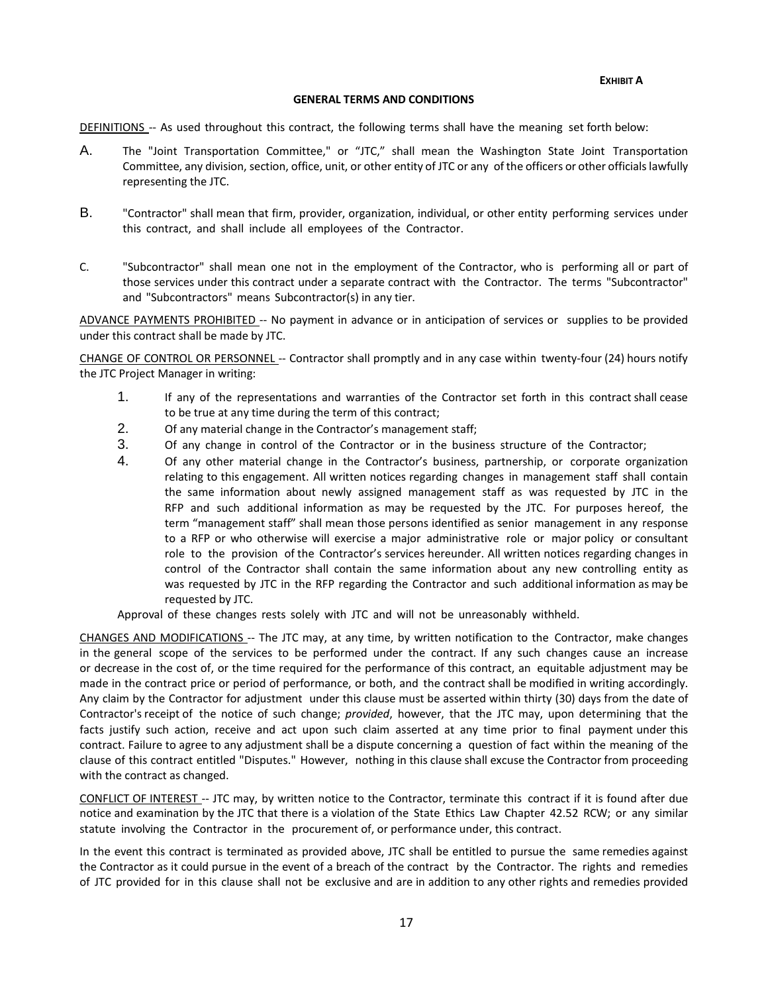**EXHIBIT A**

#### **GENERAL TERMS AND CONDITIONS**

DEFINITIONS -- As used throughout this contract, the following terms shall have the meaning set forth below:

- A. The "Joint Transportation Committee," or "JTC," shall mean the Washington State Joint Transportation Committee, any division, section, office, unit, or other entity of JTC or any of the officers or other officialslawfully representing the JTC.
- B. "Contractor" shall mean that firm, provider, organization, individual, or other entity performing services under this contract, and shall include all employees of the Contractor.
- C. "Subcontractor" shall mean one not in the employment of the Contractor, who is performing all or part of those services under this contract under a separate contract with the Contractor. The terms "Subcontractor" and "Subcontractors" means Subcontractor(s) in any tier.

ADVANCE PAYMENTS PROHIBITED -- No payment in advance or in anticipation of services or supplies to be provided under this contract shall be made by JTC.

CHANGE OF CONTROL OR PERSONNEL -- Contractor shall promptly and in any case within twenty-four (24) hours notify the JTC Project Manager in writing:

- 1. If any of the representations and warranties of the Contractor set forth in this contract shall cease to be true at any time during the term of this contract;
- 2. Of any material change in the Contractor's management staff;
- 3. Of any change in control of the Contractor or in the business structure of the Contractor;
- 4. Of any other material change in the Contractor's business, partnership, or corporate organization relating to this engagement. All written notices regarding changes in management staff shall contain the same information about newly assigned management staff as was requested by JTC in the RFP and such additional information as may be requested by the JTC. For purposes hereof, the term "management staff" shall mean those persons identified as senior management in any response to a RFP or who otherwise will exercise a major administrative role or major policy or consultant role to the provision of the Contractor's services hereunder. All written notices regarding changes in control of the Contractor shall contain the same information about any new controlling entity as was requested by JTC in the RFP regarding the Contractor and such additional information as may be requested by JTC.

Approval of these changes rests solely with JTC and will not be unreasonably withheld.

CHANGES AND MODIFICATIONS -- The JTC may, at any time, by written notification to the Contractor, make changes in the general scope of the services to be performed under the contract. If any such changes cause an increase or decrease in the cost of, or the time required for the performance of this contract, an equitable adjustment may be made in the contract price or period of performance, or both, and the contract shall be modified in writing accordingly. Any claim by the Contractor for adjustment under this clause must be asserted within thirty (30) days from the date of Contractor's receipt of the notice of such change; *provided*, however, that the JTC may, upon determining that the facts justify such action, receive and act upon such claim asserted at any time prior to final payment under this contract. Failure to agree to any adjustment shall be a dispute concerning a question of fact within the meaning of the clause of this contract entitled "Disputes." However, nothing in this clause shall excuse the Contractor from proceeding with the contract as changed.

CONFLICT OF INTEREST -- JTC may, by written notice to the Contractor, terminate this contract if it is found after due notice and examination by the JTC that there is a violation of the State Ethics Law Chapter 42.52 RCW; or any similar statute involving the Contractor in the procurement of, or performance under, this contract.

In the event this contract is terminated as provided above, JTC shall be entitled to pursue the same remedies against the Contractor as it could pursue in the event of a breach of the contract by the Contractor. The rights and remedies of JTC provided for in this clause shall not be exclusive and are in addition to any other rights and remedies provided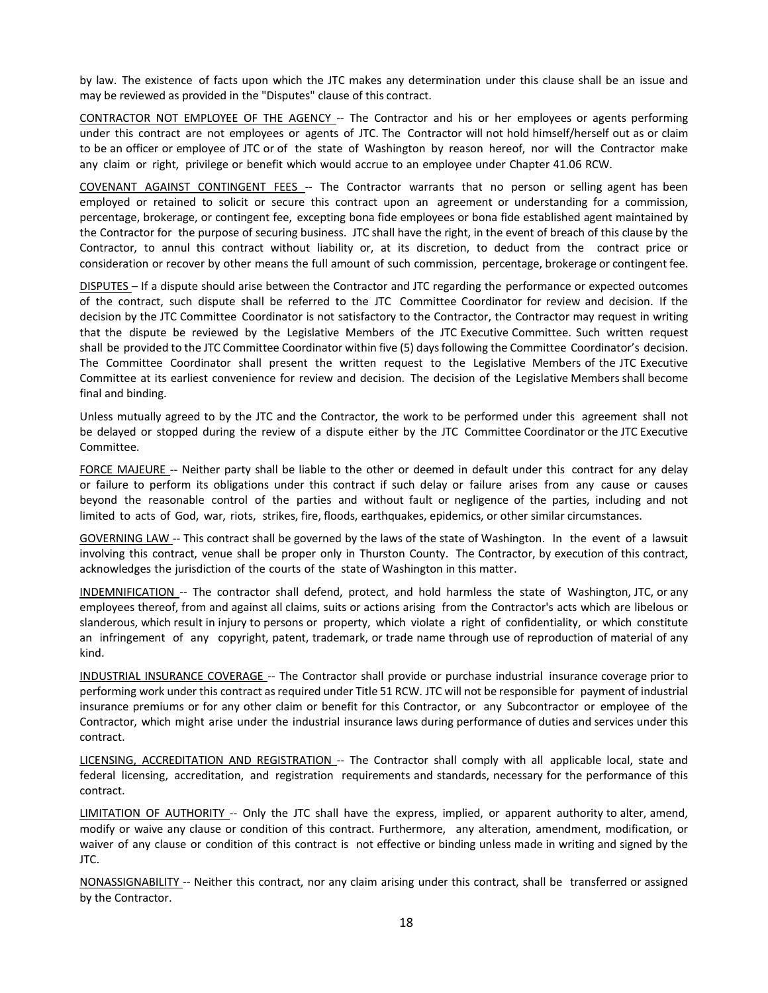by law. The existence of facts upon which the JTC makes any determination under this clause shall be an issue and may be reviewed as provided in the "Disputes" clause of this contract.

CONTRACTOR NOT EMPLOYEE OF THE AGENCY -- The Contractor and his or her employees or agents performing under this contract are not employees or agents of JTC. The Contractor will not hold himself/herself out as or claim to be an officer or employee of JTC or of the state of Washington by reason hereof, nor will the Contractor make any claim or right, privilege or benefit which would accrue to an employee under Chapter 41.06 RCW.

COVENANT AGAINST CONTINGENT FEES -- The Contractor warrants that no person or selling agent has been employed or retained to solicit or secure this contract upon an agreement or understanding for a commission, percentage, brokerage, or contingent fee, excepting bona fide employees or bona fide established agent maintained by the Contractor for the purpose of securing business. JTC shall have the right, in the event of breach of this clause by the Contractor, to annul this contract without liability or, at its discretion, to deduct from the contract price or consideration or recover by other means the full amount of such commission, percentage, brokerage or contingent fee.

DISPUTES – If a dispute should arise between the Contractor and JTC regarding the performance or expected outcomes of the contract, such dispute shall be referred to the JTC Committee Coordinator for review and decision. If the decision by the JTC Committee Coordinator is not satisfactory to the Contractor, the Contractor may request in writing that the dispute be reviewed by the Legislative Members of the JTC Executive Committee. Such written request shall be provided to the JTC Committee Coordinator within five (5) daysfollowing the Committee Coordinator's decision. The Committee Coordinator shall present the written request to the Legislative Members of the JTC Executive Committee at its earliest convenience for review and decision. The decision of the Legislative Members shall become final and binding.

Unless mutually agreed to by the JTC and the Contractor, the work to be performed under this agreement shall not be delayed or stopped during the review of a dispute either by the JTC Committee Coordinator or the JTC Executive Committee.

FORCE MAJEURE -- Neither party shall be liable to the other or deemed in default under this contract for any delay or failure to perform its obligations under this contract if such delay or failure arises from any cause or causes beyond the reasonable control of the parties and without fault or negligence of the parties, including and not limited to acts of God, war, riots, strikes, fire, floods, earthquakes, epidemics, or other similar circumstances.

GOVERNING LAW -- This contract shall be governed by the laws of the state of Washington. In the event of a lawsuit involving this contract, venue shall be proper only in Thurston County. The Contractor, by execution of this contract, acknowledges the jurisdiction of the courts of the state of Washington in this matter.

INDEMNIFICATION -- The contractor shall defend, protect, and hold harmless the state of Washington, JTC, or any employees thereof, from and against all claims, suits or actions arising from the Contractor's acts which are libelous or slanderous, which result in injury to persons or property, which violate a right of confidentiality, or which constitute an infringement of any copyright, patent, trademark, or trade name through use of reproduction of material of any kind.

INDUSTRIAL INSURANCE COVERAGE -- The Contractor shall provide or purchase industrial insurance coverage prior to performing work under this contract as required under Title 51 RCW. JTC will not be responsible for payment of industrial insurance premiums or for any other claim or benefit for this Contractor, or any Subcontractor or employee of the Contractor, which might arise under the industrial insurance laws during performance of duties and services under this contract.

LICENSING, ACCREDITATION AND REGISTRATION -- The Contractor shall comply with all applicable local, state and federal licensing, accreditation, and registration requirements and standards, necessary for the performance of this contract.

LIMITATION OF AUTHORITY -- Only the JTC shall have the express, implied, or apparent authority to alter, amend, modify or waive any clause or condition of this contract. Furthermore, any alteration, amendment, modification, or waiver of any clause or condition of this contract is not effective or binding unless made in writing and signed by the JTC.

NONASSIGNABILITY -- Neither this contract, nor any claim arising under this contract, shall be transferred or assigned by the Contractor.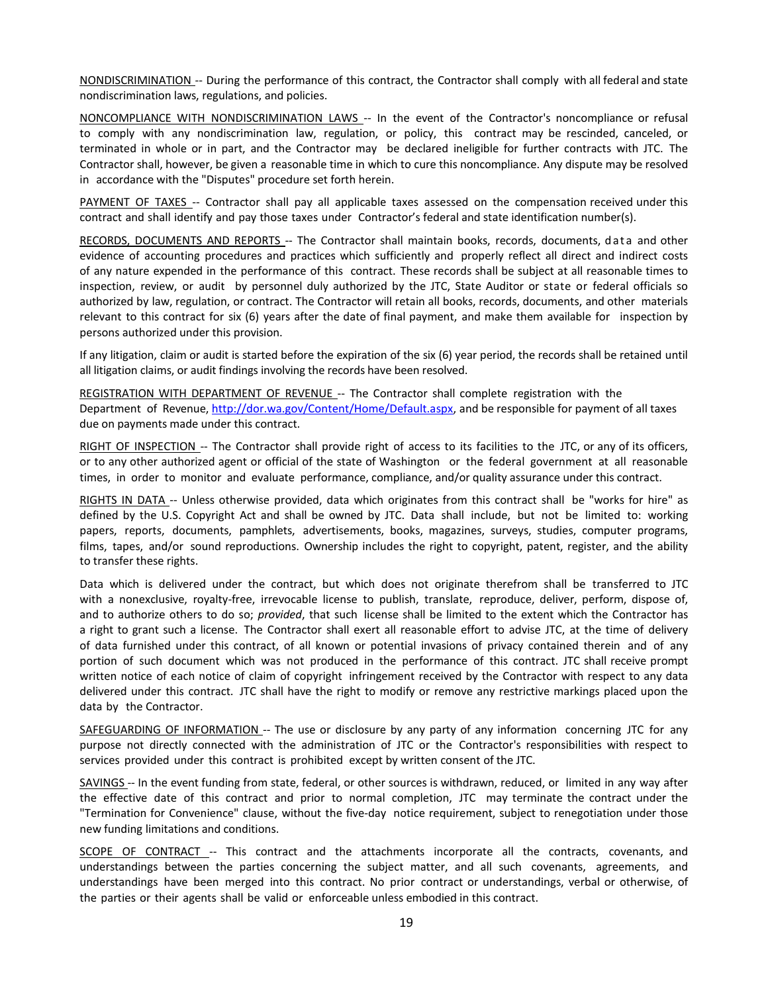NONDISCRIMINATION -- During the performance of this contract, the Contractor shall comply with all federal and state nondiscrimination laws, regulations, and policies.

NONCOMPLIANCE WITH NONDISCRIMINATION LAWS -- In the event of the Contractor's noncompliance or refusal to comply with any nondiscrimination law, regulation, or policy, this contract may be rescinded, canceled, or terminated in whole or in part, and the Contractor may be declared ineligible for further contracts with JTC. The Contractor shall, however, be given a reasonable time in which to cure this noncompliance. Any dispute may be resolved in accordance with the "Disputes" procedure set forth herein.

PAYMENT OF TAXES -- Contractor shall pay all applicable taxes assessed on the compensation received under this contract and shall identify and pay those taxes under Contractor's federal and state identification number(s).

RECORDS, DOCUMENTS AND REPORTS -- The Contractor shall maintain books, records, documents, data and other evidence of accounting procedures and practices which sufficiently and properly reflect all direct and indirect costs of any nature expended in the performance of this contract. These records shall be subject at all reasonable times to inspection, review, or audit by personnel duly authorized by the JTC, State Auditor or state or federal officials so authorized by law, regulation, or contract. The Contractor will retain all books, records, documents, and other materials relevant to this contract for six (6) years after the date of final payment, and make them available for inspection by persons authorized under this provision.

If any litigation, claim or audit is started before the expiration of the six (6) year period, the records shall be retained until all litigation claims, or audit findings involving the records have been resolved.

REGISTRATION WITH DEPARTMENT OF REVENUE -- The Contractor shall complete registration with the Department of Revenue, [http://dor.wa.gov/Content/Home/Default.aspx,](http://dor.wa.gov/Content/Home/Default.aspx) and be responsible for payment of all taxes due on payments made under this contract.

RIGHT OF INSPECTION -- The Contractor shall provide right of access to its facilities to the JTC, or any of its officers, or to any other authorized agent or official of the state of Washington or the federal government at all reasonable times, in order to monitor and evaluate performance, compliance, and/or quality assurance under this contract.

RIGHTS IN DATA -- Unless otherwise provided, data which originates from this contract shall be "works for hire" as defined by the U.S. Copyright Act and shall be owned by JTC. Data shall include, but not be limited to: working papers, reports, documents, pamphlets, advertisements, books, magazines, surveys, studies, computer programs, films, tapes, and/or sound reproductions. Ownership includes the right to copyright, patent, register, and the ability to transfer these rights.

Data which is delivered under the contract, but which does not originate therefrom shall be transferred to JTC with a nonexclusive, royalty-free, irrevocable license to publish, translate, reproduce, deliver, perform, dispose of, and to authorize others to do so; *provided*, that such license shall be limited to the extent which the Contractor has a right to grant such a license. The Contractor shall exert all reasonable effort to advise JTC, at the time of delivery of data furnished under this contract, of all known or potential invasions of privacy contained therein and of any portion of such document which was not produced in the performance of this contract. JTC shall receive prompt written notice of each notice of claim of copyright infringement received by the Contractor with respect to any data delivered under this contract. JTC shall have the right to modify or remove any restrictive markings placed upon the data by the Contractor.

SAFEGUARDING OF INFORMATION -- The use or disclosure by any party of any information concerning JTC for any purpose not directly connected with the administration of JTC or the Contractor's responsibilities with respect to services provided under this contract is prohibited except by written consent of the JTC.

SAVINGS -- In the event funding from state, federal, or other sources is withdrawn, reduced, or limited in any way after the effective date of this contract and prior to normal completion, JTC may terminate the contract under the "Termination for Convenience" clause, without the five-day notice requirement, subject to renegotiation under those new funding limitations and conditions.

SCOPE OF CONTRACT -- This contract and the attachments incorporate all the contracts, covenants, and understandings between the parties concerning the subject matter, and all such covenants, agreements, and understandings have been merged into this contract. No prior contract or understandings, verbal or otherwise, of the parties or their agents shall be valid or enforceable unless embodied in this contract.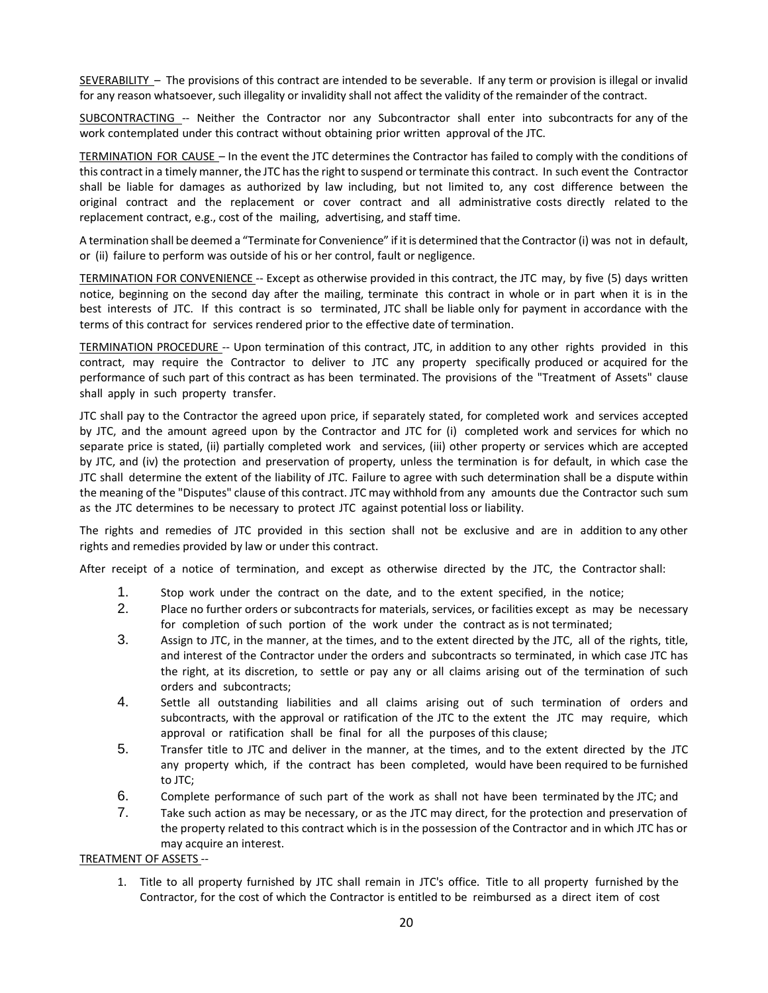SEVERABILITY – The provisions of this contract are intended to be severable. If any term or provision is illegal or invalid for any reason whatsoever, such illegality or invalidity shall not affect the validity of the remainder of the contract.

SUBCONTRACTING -- Neither the Contractor nor any Subcontractor shall enter into subcontracts for any of the work contemplated under this contract without obtaining prior written approval of the JTC.

TERMINATION FOR CAUSE – In the event the JTC determines the Contractor has failed to comply with the conditions of this contract in a timely manner, the JTC has the right to suspend or terminate this contract. In such event the Contractor shall be liable for damages as authorized by law including, but not limited to, any cost difference between the original contract and the replacement or cover contract and all administrative costs directly related to the replacement contract, e.g., cost of the mailing, advertising, and staff time.

A termination shall be deemed a "Terminate for Convenience" if it is determined that the Contractor (i) was not in default, or (ii) failure to perform was outside of his or her control, fault or negligence.

TERMINATION FOR CONVENIENCE -- Except as otherwise provided in this contract, the JTC may, by five (5) days written notice, beginning on the second day after the mailing, terminate this contract in whole or in part when it is in the best interests of JTC. If this contract is so terminated, JTC shall be liable only for payment in accordance with the terms of this contract for services rendered prior to the effective date of termination.

TERMINATION PROCEDURE -- Upon termination of this contract, JTC, in addition to any other rights provided in this contract, may require the Contractor to deliver to JTC any property specifically produced or acquired for the performance of such part of this contract as has been terminated. The provisions of the "Treatment of Assets" clause shall apply in such property transfer.

JTC shall pay to the Contractor the agreed upon price, if separately stated, for completed work and services accepted by JTC, and the amount agreed upon by the Contractor and JTC for (i) completed work and services for which no separate price is stated, (ii) partially completed work and services, (iii) other property or services which are accepted by JTC, and (iv) the protection and preservation of property, unless the termination is for default, in which case the JTC shall determine the extent of the liability of JTC. Failure to agree with such determination shall be a dispute within the meaning of the "Disputes" clause of this contract. JTC may withhold from any amounts due the Contractor such sum as the JTC determines to be necessary to protect JTC against potential loss or liability.

The rights and remedies of JTC provided in this section shall not be exclusive and are in addition to any other rights and remedies provided by law or under this contract.

After receipt of a notice of termination, and except as otherwise directed by the JTC, the Contractor shall:

- 1. Stop work under the contract on the date, and to the extent specified, in the notice;
- 2. Place no further orders or subcontracts for materials, services, or facilities except as may be necessary for completion of such portion of the work under the contract as is not terminated;
- 3. Assign to JTC, in the manner, at the times, and to the extent directed by the JTC, all of the rights, title, and interest of the Contractor under the orders and subcontracts so terminated, in which case JTC has the right, at its discretion, to settle or pay any or all claims arising out of the termination of such orders and subcontracts;
- 4. Settle all outstanding liabilities and all claims arising out of such termination of orders and subcontracts, with the approval or ratification of the JTC to the extent the JTC may require, which approval or ratification shall be final for all the purposes of this clause;
- 5. Transfer title to JTC and deliver in the manner, at the times, and to the extent directed by the JTC any property which, if the contract has been completed, would have been required to be furnished to JTC;
- 6. Complete performance of such part of the work as shall not have been terminated by the JTC; and
- 7. Take such action as may be necessary, or as the JTC may direct, for the protection and preservation of the property related to this contract which is in the possession of the Contractor and in which JTC has or may acquire an interest.

TREATMENT OF ASSETS --

1. Title to all property furnished by JTC shall remain in JTC's office. Title to all property furnished by the Contractor, for the cost of which the Contractor is entitled to be reimbursed as a direct item of cost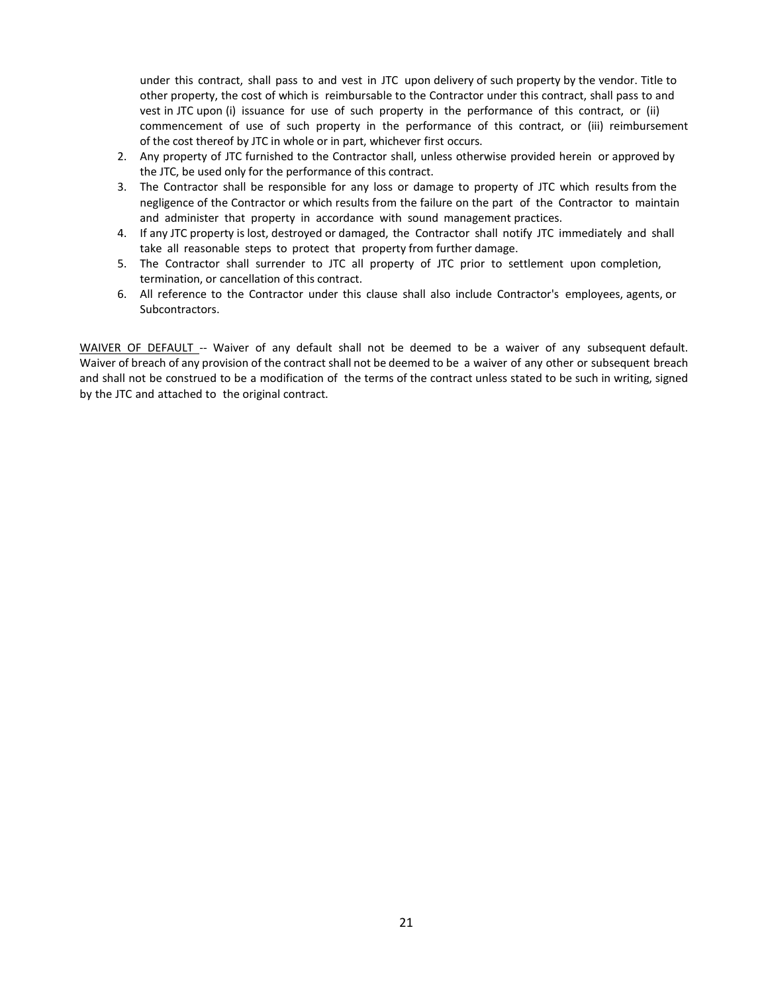under this contract, shall pass to and vest in JTC upon delivery of such property by the vendor. Title to other property, the cost of which is reimbursable to the Contractor under this contract, shall pass to and vest in JTC upon (i) issuance for use of such property in the performance of this contract, or (ii) commencement of use of such property in the performance of this contract, or (iii) reimbursement of the cost thereof by JTC in whole or in part, whichever first occurs.

- 2. Any property of JTC furnished to the Contractor shall, unless otherwise provided herein or approved by the JTC, be used only for the performance of this contract.
- 3. The Contractor shall be responsible for any loss or damage to property of JTC which results from the negligence of the Contractor or which results from the failure on the part of the Contractor to maintain and administer that property in accordance with sound management practices.
- 4. If any JTC property is lost, destroyed or damaged, the Contractor shall notify JTC immediately and shall take all reasonable steps to protect that property from further damage.
- 5. The Contractor shall surrender to JTC all property of JTC prior to settlement upon completion, termination, or cancellation of this contract.
- 6. All reference to the Contractor under this clause shall also include Contractor's employees, agents, or Subcontractors.

WAIVER OF DEFAULT -- Waiver of any default shall not be deemed to be a waiver of any subsequent default. Waiver of breach of any provision of the contract shall not be deemed to be a waiver of any other or subsequent breach and shall not be construed to be a modification of the terms of the contract unless stated to be such in writing, signed by the JTC and attached to the original contract.